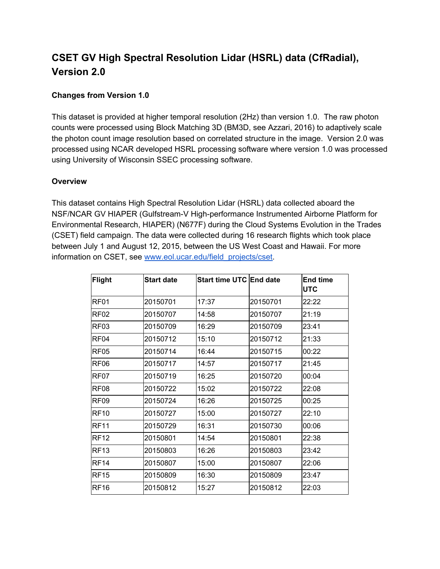# **CSET GV High Spectral Resolution Lidar (HSRL) data (CfRadial), Version 2.0**

## **Changes from Version 1.0**

This dataset is provided at higher temporal resolution (2Hz) than version 1.0. The raw photon counts were processed using Block Matching 3D (BM3D, see Azzari, 2016) to adaptively scale the photon count image resolution based on correlated structure in the image. Version 2.0 was processed using NCAR developed HSRL processing software where version 1.0 was processed using University of Wisconsin SSEC processing software.

#### **Overview**

This dataset contains High Spectral Resolution Lidar (HSRL) data collected aboard the NSF/NCAR GV HIAPER (Gulfstream-V High-performance Instrumented Airborne Platform for Environmental Research, HIAPER) (N677F) during the Cloud Systems Evolution in the Trades (CSET) field campaign. The data were collected during 16 research flights which took place between July 1 and August 12, 2015, between the US West Coast and Hawaii. For more information on CSET, see [www.eol.ucar.edu/field\\_projects/cset.](http://www.eol.ucar.edu/field_projects/cset)

| Flight           | <b>Start date</b> | Start time UTC End date |          | <b>End time</b><br><b>UTC</b> |
|------------------|-------------------|-------------------------|----------|-------------------------------|
| RF01             | 20150701          | 17:37                   | 20150701 | 22:22                         |
| RF <sub>02</sub> | 20150707          | 14:58                   | 20150707 | 21:19                         |
| RF <sub>03</sub> | 20150709          | 16:29                   | 20150709 | 23:41                         |
| RF <sub>04</sub> | 20150712          | 15:10                   | 20150712 | 21:33                         |
| <b>RF05</b>      | 20150714          | 16:44                   | 20150715 | 00:22                         |
| RF <sub>06</sub> | 20150717          | 14:57                   | 20150717 | 21:45                         |
| RF <sub>07</sub> | 20150719          | 16:25                   | 20150720 | 00:04                         |
| RF <sub>08</sub> | 20150722          | 15:02                   | 20150722 | 22:08                         |
| RF <sub>09</sub> | 20150724          | 16:26                   | 20150725 | 00:25                         |
| <b>RF10</b>      | 20150727          | 15:00                   | 20150727 | 22:10                         |
| <b>RF11</b>      | 20150729          | 16:31                   | 20150730 | 00:06                         |
| <b>RF12</b>      | 20150801          | 14:54                   | 20150801 | 22:38                         |
| <b>RF13</b>      | 20150803          | 16:26                   | 20150803 | 23:42                         |
| <b>RF14</b>      | 20150807          | 15:00                   | 20150807 | 22:06                         |
| <b>RF15</b>      | 20150809          | 16:30                   | 20150809 | 23:47                         |
| <b>RF16</b>      | 20150812          | 15:27                   | 20150812 | 22:03                         |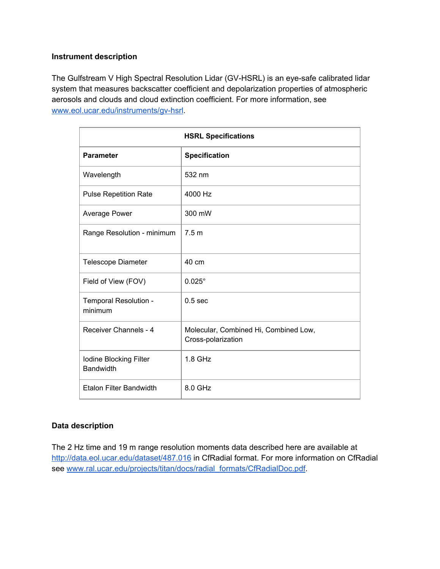#### **Instrument description**

The Gulfstream V High Spectral Resolution Lidar (GV-HSRL) is an eye-safe calibrated lidar system that measures backscatter coefficient and depolarization properties of atmospheric aerosols and clouds and cloud extinction coefficient. For more information, see [www.eol.ucar.edu/instruments/gv-hsrl](http://www.eol.ucar.edu/instruments/gv-hsrl).

| <b>HSRL Specifications</b>          |                                                             |  |  |  |
|-------------------------------------|-------------------------------------------------------------|--|--|--|
| <b>Parameter</b>                    | <b>Specification</b>                                        |  |  |  |
| Wavelength                          | 532 nm                                                      |  |  |  |
| <b>Pulse Repetition Rate</b>        | 4000 Hz                                                     |  |  |  |
| Average Power                       | 300 mW                                                      |  |  |  |
| Range Resolution - minimum          | 7.5 <sub>m</sub>                                            |  |  |  |
| <b>Telescope Diameter</b>           | 40 cm                                                       |  |  |  |
| Field of View (FOV)                 | $0.025^\circ$                                               |  |  |  |
| Temporal Resolution -<br>minimum    | 0.5 <sub>sec</sub>                                          |  |  |  |
| Receiver Channels - 4               | Molecular, Combined Hi, Combined Low,<br>Cross-polarization |  |  |  |
| Iodine Blocking Filter<br>Bandwidth | $1.8$ GHz                                                   |  |  |  |
| <b>Etalon Filter Bandwidth</b>      | 8.0 GHz                                                     |  |  |  |

## **Data description**

The 2 Hz time and 19 m range resolution moments data described here are available at <http://data.eol.ucar.edu/dataset/487.016> in CfRadial format. For more information on CfRadial see [www.ral.ucar.edu/projects/titan/docs/radial\\_formats/CfRadialDoc.pdf](http://www.ral.ucar.edu/projects/titan/docs/radial_formats/CfRadialDoc.pdf).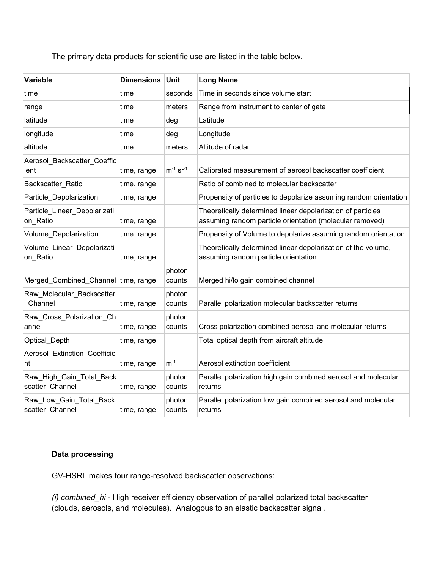The primary data products for scientific use are listed in the table below.

| Variable                                    | <b>Dimensions</b> | Unit                      | <b>Long Name</b>                                                                                                        |
|---------------------------------------------|-------------------|---------------------------|-------------------------------------------------------------------------------------------------------------------------|
| time                                        | time              | seconds                   | Time in seconds since volume start                                                                                      |
| range                                       | time              | meters                    | Range from instrument to center of gate                                                                                 |
| latitude                                    | time              | deg                       | Latitude                                                                                                                |
| longitude                                   | time              | deg                       | Longitude                                                                                                               |
| altitude                                    | time              | meters                    | Altitude of radar                                                                                                       |
| Aerosol_Backscatter_Coeffic<br>ient         | time, range       | $m^{-1}$ sr <sup>-1</sup> | Calibrated measurement of aerosol backscatter coefficient                                                               |
| Backscatter Ratio                           | time, range       |                           | Ratio of combined to molecular backscatter                                                                              |
| Particle_Depolarization                     | time, range       |                           | Propensity of particles to depolarize assuming random orientation                                                       |
| Particle_Linear_Depolarizati<br>on_Ratio    | time, range       |                           | Theoretically determined linear depolarization of particles<br>assuming random particle orientation (molecular removed) |
| Volume_Depolarization                       | time, range       |                           | Propensity of Volume to depolarize assuming random orientation                                                          |
| Volume Linear Depolarizati<br>on Ratio      | time, range       |                           | Theoretically determined linear depolarization of the volume,<br>assuming random particle orientation                   |
| Merged_Combined_Channel time, range         |                   | photon<br>counts          | Merged hi/lo gain combined channel                                                                                      |
| Raw_Molecular_Backscatter<br>Channel        | time, range       | photon<br>counts          | Parallel polarization molecular backscatter returns                                                                     |
| Raw_Cross_Polarization_Ch<br>annel          | time, range       | photon<br>counts          | Cross polarization combined aerosol and molecular returns                                                               |
| Optical_Depth                               | time, range       |                           | Total optical depth from aircraft altitude                                                                              |
| Aerosol_Extinction_Coefficie<br>nt          | time, range       | $m^{-1}$                  | Aerosol extinction coefficient                                                                                          |
| Raw_High_Gain_Total_Back<br>scatter Channel | time, range       | photon<br>counts          | Parallel polarization high gain combined aerosol and molecular<br>returns                                               |
| Raw_Low_Gain_Total_Back<br>scatter_Channel  | time, range       | photon<br>counts          | Parallel polarization low gain combined aerosol and molecular<br>returns                                                |

#### **Data processing**

GV-HSRL makes four range-resolved backscatter observations:

*(i) combined\_hi* - High receiver efficiency observation of parallel polarized total backscatter (clouds, aerosols, and molecules). Analogous to an elastic backscatter signal.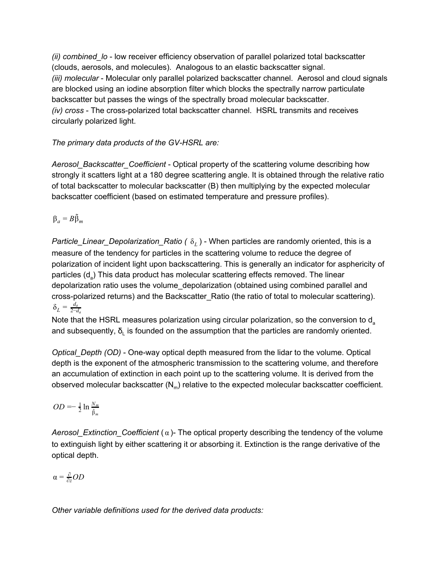*(ii) combined\_lo* - low receiver efficiency observation of parallel polarized total backscatter (clouds, aerosols, and molecules). Analogous to an elastic backscatter signal. *(iii) molecular* - Molecular only parallel polarized backscatter channel. Aerosol and cloud signals are blocked using an iodine absorption filter which blocks the spectrally narrow particulate backscatter but passes the wings of the spectrally broad molecular backscatter. *(iv) cross* - The cross-polarized total backscatter channel. HSRL transmits and receives circularly polarized light.

*The primary data products of the GV-HSRL are:*

*Aerosol\_Backscatter\_Coefficient* - Optical property of the scattering volume describing how strongly it scatters light at a 180 degree scattering angle. It is obtained through the relative ratio of total backscatter to molecular backscatter (B) then multiplying by the expected molecular backscatter coefficient (based on estimated temperature and pressure profiles).

 $\beta_a = B\tilde{\beta}_m$ 

*Particle\_Linear\_Depolarization\_Ratio (* δ*<sup>L</sup>* ) - When particles are randomly oriented, this is a measure of the tendency for particles in the scattering volume to reduce the degree of polarization of incident light upon backscattering. This is generally an indicator for asphericity of particles (d<sub>a</sub>) This data product has molecular scattering effects removed. The linear depolarization ratio uses the volume\_depolarization (obtained using combined parallel and cross-polarized returns) and the Backscatter\_Ratio (the ratio of total to molecular scattering).  $\delta_L = \frac{d_a}{2-a}$ 2−*d<sup>a</sup>*

Note that the HSRL measures polarization using circular polarization, so the conversion to d<sub>a</sub> and subsequently,  $\delta_{\text{\tiny L}}$  is founded on the assumption that the particles are randomly oriented.

*Optical\_Depth (OD)* - One-way optical depth measured from the lidar to the volume. Optical depth is the exponent of the atmospheric transmission to the scattering volume, and therefore an accumulation of extinction in each point up to the scattering volume. It is derived from the observed molecular backscatter (N<sub>m</sub>) relative to the expected molecular backscatter coefficient.

 $OD = -\frac{1}{2} \ln \frac{N_m}{\tilde{\beta}_m}$ *N <sup>m</sup>*

*Aerosol\_Extinction\_Coefficient* ( α )- The optical property describing the tendency of the volume to extinguish light by either scattering it or absorbing it. Extinction is the range derivative of the optical depth.

$$
\alpha = \tfrac{\partial}{\partial z} OD
$$

*Other variable definitions used for the derived data products:*